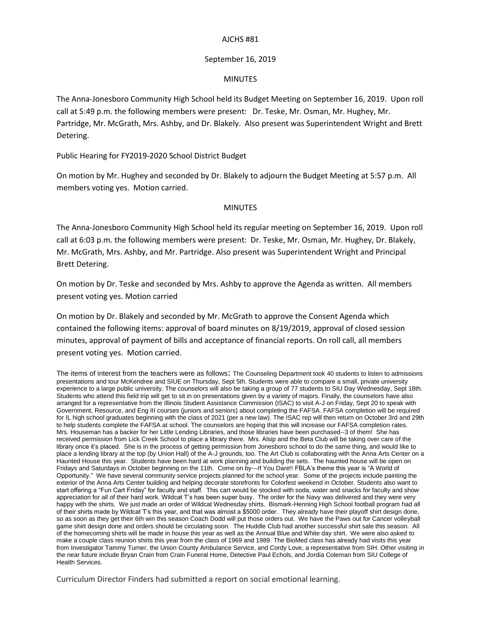## AJCHS #81

## September 16, 2019

## MINUTES

The Anna-Jonesboro Community High School held its Budget Meeting on September 16, 2019. Upon roll call at 5:49 p.m. the following members were present: Dr. Teske, Mr. Osman, Mr. Hughey, Mr. Partridge, Mr. McGrath, Mrs. Ashby, and Dr. Blakely. Also present was Superintendent Wright and Brett Detering.

Public Hearing for FY2019-2020 School District Budget

On motion by Mr. Hughey and seconded by Dr. Blakely to adjourn the Budget Meeting at 5:57 p.m. All members voting yes. Motion carried.

## MINUTES

The Anna-Jonesboro Community High School held its regular meeting on September 16, 2019. Upon roll call at 6:03 p.m. the following members were present: Dr. Teske, Mr. Osman, Mr. Hughey, Dr. Blakely, Mr. McGrath, Mrs. Ashby, and Mr. Partridge. Also present was Superintendent Wright and Principal Brett Detering.

On motion by Dr. Teske and seconded by Mrs. Ashby to approve the Agenda as written. All members present voting yes. Motion carried

On motion by Dr. Blakely and seconded by Mr. McGrath to approve the Consent Agenda which contained the following items: approval of board minutes on 8/19/2019, approval of closed session minutes, approval of payment of bills and acceptance of financial reports. On roll call, all members present voting yes. Motion carried.

The items of interest from the teachers were as follows: The Counseling Department took 40 students to listen to admissions presentations and tour McKendree and SIUE on Thursday, Sept 5th. Students were able to compare a small, private university experience to a large public university. The counselors will also be taking a group of 77 students to SIU Day Wednesday, Sept 18th. Students who attend this field trip will get to sit in on presentations given by a variety of majors. Finally, the counselors have also arranged for a representative from the Illinois Student Assistance Commission (ISAC) to visit A-J on Friday, Sept 20 to speak with Government, Resource, and Eng III courses (juniors and seniors) about completing the FAFSA. FAFSA completion will be required for IL high school graduates beginning with the class of 2021 (per a new law). The ISAC rep will then return on October 3rd and 29th to help students complete the FAFSA at school. The counselors are hoping that this will increase our FAFSA completion rates. Mrs. Houseman has a backer for her Little Lending Libraries, and those libraries have been purchased--3 of them! She has received permission from Lick Creek School to place a library there. Mrs. Alsip and the Beta Club will be taking over care of the library once it's placed. She is in the process of getting permission from Jonesboro school to do the same thing, and would like to place a lending library at the top (by Union Hall) of the A-J grounds, too. The Art Club is collaborating with the Anna Arts Center on a Haunted House this year. Students have been hard at work planning and building the sets. The haunted house will be open on Fridays and Saturdays in October beginning on the 11th. Come on by---If You Dare!! FBLA's theme this year is "A World of Opportunity." We have several community service projects planned for the school year. Some of the projects include painting the exterior of the Anna Arts Center building and helping decorate storefronts for Colorfest weekend in October. Students also want to start offering a "Fun Cart Friday" for faculty and staff. This cart would be stocked with soda, water and snacks for faculty and show appreciation for all of their hard work. Wildcat T's has been super busy. The order for the Navy was delivered and they were very happy with the shirts. We just made an order of Wildcat Wednesday shirts. Bismark-Henning High School football program had all of their shirts made by Wildcat T's this year, and that was almost a \$5000 order. They already have their playoff shirt design done, so as soon as they get their 6th win this season Coach Dodd will put those orders out. We have the Paws out for Cancer volleyball game shirt design done and orders should be circulating soon. The Huddle Club had another successful shirt sale this season. All of the homecoming shirts will be made in house this year as well as the Annual Blue and White day shirt. We were also asked to make a couple class reunion shirts this year from the class of 1969 and 1989. The BioMed class has already had visits this year from Investigator Tammy Turner, the Union County Ambulance Service, and Cordy Love, a representative from SIH. Other visiting in the near future include Bryan Crain from Crain Funeral Home, Detective Paul Echols, and Jordia Coleman from SIU College of Health Services.

Curriculum Director Finders had submitted a report on social emotional learning.